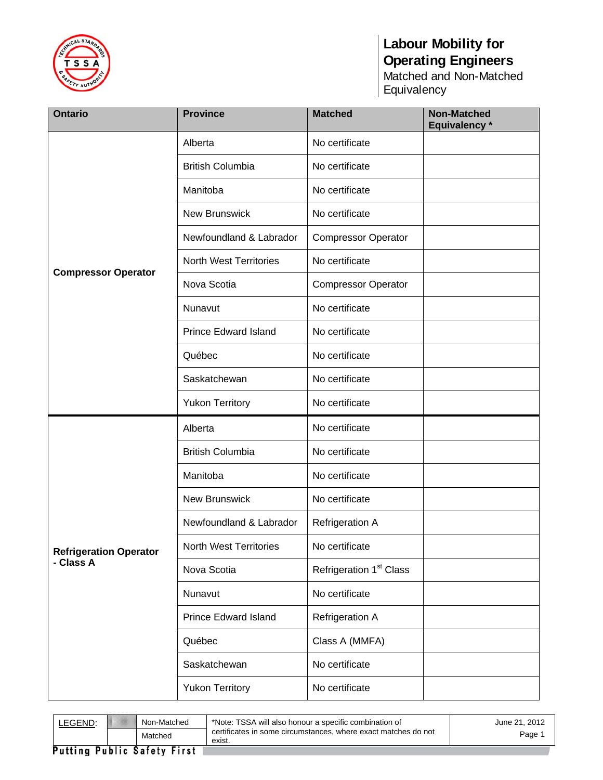

| <b>Ontario</b>                | <b>Province</b>               | <b>Matched</b>                      | <b>Non-Matched</b><br>Equivalency * |
|-------------------------------|-------------------------------|-------------------------------------|-------------------------------------|
|                               | Alberta                       | No certificate                      |                                     |
|                               | <b>British Columbia</b>       | No certificate                      |                                     |
|                               | Manitoba                      | No certificate                      |                                     |
|                               | <b>New Brunswick</b>          | No certificate                      |                                     |
|                               | Newfoundland & Labrador       | <b>Compressor Operator</b>          |                                     |
| <b>Compressor Operator</b>    | <b>North West Territories</b> | No certificate                      |                                     |
|                               | Nova Scotia                   | <b>Compressor Operator</b>          |                                     |
|                               | Nunavut                       | No certificate                      |                                     |
|                               | <b>Prince Edward Island</b>   | No certificate                      |                                     |
|                               | Québec                        | No certificate                      |                                     |
|                               | Saskatchewan                  | No certificate                      |                                     |
|                               | <b>Yukon Territory</b>        | No certificate                      |                                     |
|                               | Alberta                       | No certificate                      |                                     |
|                               | <b>British Columbia</b>       | No certificate                      |                                     |
|                               | Manitoba                      | No certificate                      |                                     |
|                               | New Brunswick                 | No certificate                      |                                     |
|                               | Newfoundland & Labrador       | Refrigeration A                     |                                     |
| <b>Refrigeration Operator</b> | <b>North West Territories</b> | No certificate                      |                                     |
| - Class A                     | Nova Scotia                   | Refrigeration 1 <sup>st</sup> Class |                                     |
|                               | Nunavut                       | No certificate                      |                                     |
|                               | <b>Prince Edward Island</b>   | Refrigeration A                     |                                     |
|                               | Québec                        | Class A (MMFA)                      |                                     |
|                               | Saskatchewan                  | No certificate                      |                                     |
|                               | <b>Yukon Territory</b>        | No certificate                      |                                     |

| LEGEND: | Non-Matched                        | *Note: TSSA will also honour a specific combination of                   | June 21, 2012 |
|---------|------------------------------------|--------------------------------------------------------------------------|---------------|
|         | Matched                            | certificates in some circumstances, where exact matches do not<br>exist. | Page 1        |
|         | <b>Putting Public Safety First</b> |                                                                          |               |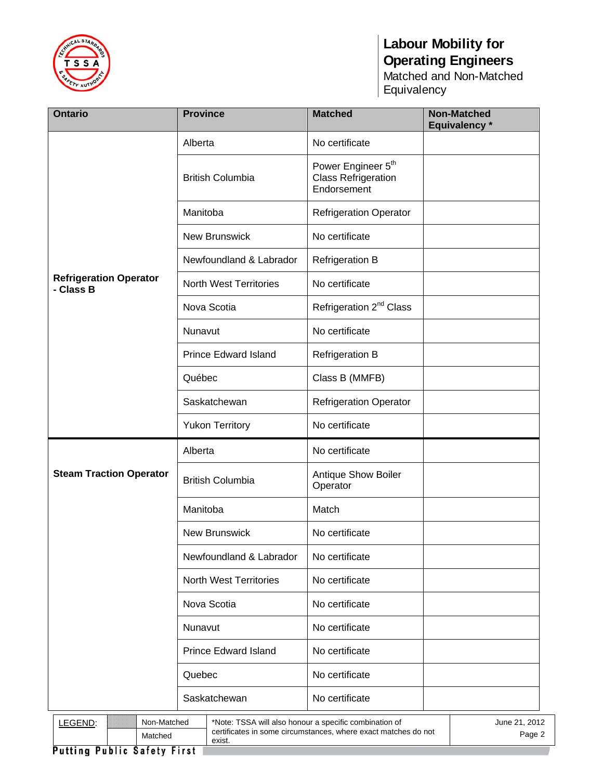

| <b>Ontario</b>                                                                                                                                                          | <b>Province</b>               | <b>Matched</b>                                                              | <b>Non-Matched</b><br>Equivalency * |
|-------------------------------------------------------------------------------------------------------------------------------------------------------------------------|-------------------------------|-----------------------------------------------------------------------------|-------------------------------------|
|                                                                                                                                                                         | Alberta                       | No certificate                                                              |                                     |
|                                                                                                                                                                         | <b>British Columbia</b>       | Power Engineer 5 <sup>th</sup><br><b>Class Refrigeration</b><br>Endorsement |                                     |
|                                                                                                                                                                         | Manitoba                      | <b>Refrigeration Operator</b>                                               |                                     |
|                                                                                                                                                                         | New Brunswick                 | No certificate                                                              |                                     |
|                                                                                                                                                                         | Newfoundland & Labrador       | <b>Refrigeration B</b>                                                      |                                     |
| <b>Refrigeration Operator</b><br>- Class B                                                                                                                              | <b>North West Territories</b> | No certificate                                                              |                                     |
|                                                                                                                                                                         | Nova Scotia                   | Refrigeration 2 <sup>nd</sup> Class                                         |                                     |
|                                                                                                                                                                         | Nunavut                       | No certificate                                                              |                                     |
|                                                                                                                                                                         | <b>Prince Edward Island</b>   | <b>Refrigeration B</b>                                                      |                                     |
|                                                                                                                                                                         | Québec                        | Class B (MMFB)                                                              |                                     |
|                                                                                                                                                                         | Saskatchewan                  | <b>Refrigeration Operator</b>                                               |                                     |
|                                                                                                                                                                         | <b>Yukon Territory</b>        | No certificate                                                              |                                     |
|                                                                                                                                                                         | Alberta                       | No certificate                                                              |                                     |
| <b>Steam Traction Operator</b>                                                                                                                                          | <b>British Columbia</b>       | Antique Show Boiler<br>Operator                                             |                                     |
|                                                                                                                                                                         | Manitoba                      | Match                                                                       |                                     |
|                                                                                                                                                                         | <b>New Brunswick</b>          | No certificate                                                              |                                     |
|                                                                                                                                                                         | Newfoundland & Labrador       | No certificate                                                              |                                     |
|                                                                                                                                                                         | <b>North West Territories</b> | No certificate                                                              |                                     |
|                                                                                                                                                                         | Nova Scotia                   | No certificate                                                              |                                     |
|                                                                                                                                                                         | Nunavut                       | No certificate                                                              |                                     |
|                                                                                                                                                                         | <b>Prince Edward Island</b>   | No certificate                                                              |                                     |
|                                                                                                                                                                         | Quebec                        | No certificate                                                              |                                     |
|                                                                                                                                                                         | Saskatchewan                  | No certificate                                                              |                                     |
| *Note: TSSA will also honour a specific combination of<br>LEGEND:<br>Non-Matched<br>certificates in some circumstances, where exact matches do not<br>Matched<br>exist. |                               |                                                                             | June 21, 2012<br>Page 2             |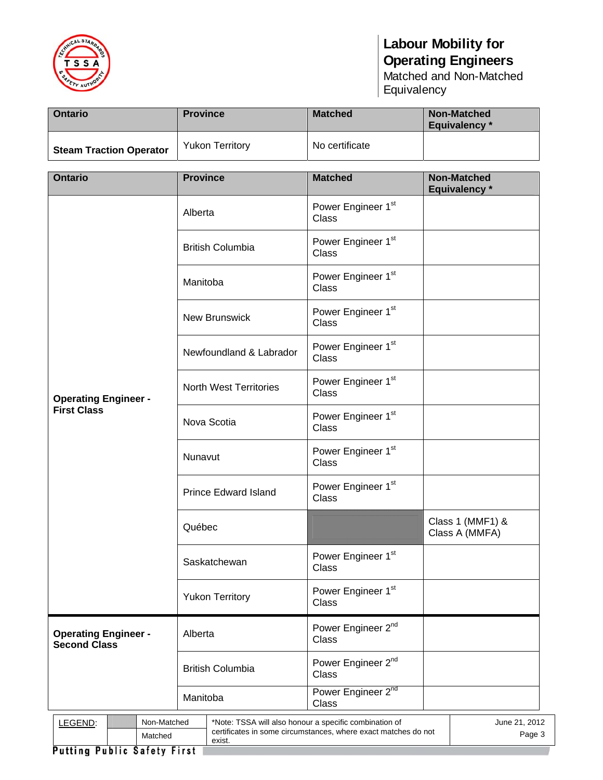

| <b>Ontario</b>                 | <b>Province</b>        | <b>Matched</b> | Non-Matched<br>Equivalency * |
|--------------------------------|------------------------|----------------|------------------------------|
| <b>Steam Traction Operator</b> | <b>Yukon Territory</b> | No certificate |                              |

| <b>Ontario</b>                                                                                                                                                          | <b>Province</b>               | <b>Matched</b>                          | <b>Non-Matched</b><br>Equivalency * |
|-------------------------------------------------------------------------------------------------------------------------------------------------------------------------|-------------------------------|-----------------------------------------|-------------------------------------|
|                                                                                                                                                                         | Alberta                       | Power Engineer 1st<br><b>Class</b>      |                                     |
|                                                                                                                                                                         | <b>British Columbia</b>       | Power Engineer 1st<br><b>Class</b>      |                                     |
|                                                                                                                                                                         | Manitoba                      | Power Engineer 1st<br><b>Class</b>      |                                     |
|                                                                                                                                                                         | <b>New Brunswick</b>          | Power Engineer 1st<br><b>Class</b>      |                                     |
|                                                                                                                                                                         | Newfoundland & Labrador       | Power Engineer 1st<br><b>Class</b>      |                                     |
| <b>Operating Engineer -</b>                                                                                                                                             | <b>North West Territories</b> | Power Engineer 1st<br><b>Class</b>      |                                     |
| <b>First Class</b>                                                                                                                                                      | Nova Scotia                   | Power Engineer 1st<br><b>Class</b>      |                                     |
|                                                                                                                                                                         | Nunavut                       | Power Engineer 1st<br><b>Class</b>      |                                     |
|                                                                                                                                                                         | <b>Prince Edward Island</b>   | Power Engineer 1st<br><b>Class</b>      |                                     |
|                                                                                                                                                                         | Québec                        |                                         | Class 1 (MMF1) &<br>Class A (MMFA)  |
|                                                                                                                                                                         | Saskatchewan                  | Power Engineer 1st<br>Class             |                                     |
|                                                                                                                                                                         | <b>Yukon Territory</b>        | Power Engineer 1 <sup>st</sup><br>Class |                                     |
| <b>Operating Engineer -</b><br><b>Second Class</b>                                                                                                                      | Alberta                       | Power Engineer 2 <sup>nd</sup><br>Class |                                     |
|                                                                                                                                                                         | <b>British Columbia</b>       | Power Engineer 2 <sup>nd</sup><br>Class |                                     |
|                                                                                                                                                                         | Manitoba                      | Power Engineer 2nd<br>Class             |                                     |
| Non-Matched<br>*Note: TSSA will also honour a specific combination of<br>LEGEND:<br>certificates in some circumstances, where exact matches do not<br>Matched<br>exist. |                               |                                         | June 21, 2012<br>Page 3             |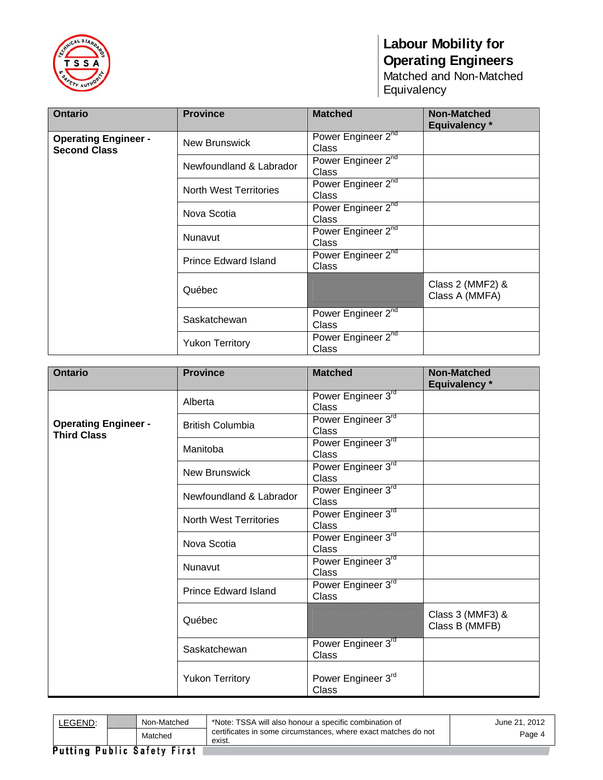

| <b>Ontario</b>                                     | <b>Province</b>             | <b>Matched</b>                          | <b>Non-Matched</b><br><b>Equivalency</b> * |
|----------------------------------------------------|-----------------------------|-----------------------------------------|--------------------------------------------|
| <b>Operating Engineer -</b><br><b>Second Class</b> | <b>New Brunswick</b>        | Power Engineer 2nd<br>Class             |                                            |
|                                                    | Newfoundland & Labrador     | Power Engineer 2nd<br><b>Class</b>      |                                            |
|                                                    | North West Territories      | Power Engineer 2nd<br>Class             |                                            |
|                                                    | Nova Scotia                 | Power Engineer 2nd<br>Class             |                                            |
|                                                    | Nunavut                     | Power Engineer 2nd<br>Class             |                                            |
|                                                    | <b>Prince Edward Island</b> | Power Engineer 2nd<br>Class             |                                            |
|                                                    | Québec                      |                                         | Class 2 (MMF2) &<br>Class A (MMFA)         |
|                                                    | Saskatchewan                | Power Engineer 2nd<br>Class             |                                            |
|                                                    | <b>Yukon Territory</b>      | Power Engineer 2 <sup>nd</sup><br>Class |                                            |

| <b>Ontario</b>                                    | <b>Province</b>               | <b>Matched</b>                     | <b>Non-Matched</b><br><b>Equivalency</b> * |
|---------------------------------------------------|-------------------------------|------------------------------------|--------------------------------------------|
|                                                   | Alberta                       | Power Engineer 3rd<br><b>Class</b> |                                            |
| <b>Operating Engineer -</b><br><b>Third Class</b> | <b>British Columbia</b>       | Power Engineer 3rd<br><b>Class</b> |                                            |
|                                                   | Manitoba                      | Power Engineer 3rd<br>Class        |                                            |
|                                                   | <b>New Brunswick</b>          | Power Engineer 3rd<br><b>Class</b> |                                            |
|                                                   | Newfoundland & Labrador       | Power Engineer 3rd<br><b>Class</b> |                                            |
|                                                   | <b>North West Territories</b> | Power Engineer 3rd<br>Class        |                                            |
|                                                   | Nova Scotia                   | Power Engineer 3rd<br><b>Class</b> |                                            |
|                                                   | Nunavut                       | Power Engineer 3rd<br><b>Class</b> |                                            |
|                                                   | <b>Prince Edward Island</b>   | Power Engineer 3rd<br>Class        |                                            |
|                                                   | Québec                        |                                    | Class 3 (MMF3) &<br>Class B (MMFB)         |
|                                                   | Saskatchewan                  | Power Engineer 3rd<br>Class        |                                            |
|                                                   | <b>Yukon Territory</b>        | Power Engineer 3rd<br>Class        |                                            |

| LEGEND: | Non-Matched                        | *Note: TSSA will also honour a specific combination of                   | June 21, 2012 |
|---------|------------------------------------|--------------------------------------------------------------------------|---------------|
|         | Matched                            | certificates in some circumstances, where exact matches do not<br>exist. | Page 4        |
|         | <b>Putting Public Safety First</b> |                                                                          |               |